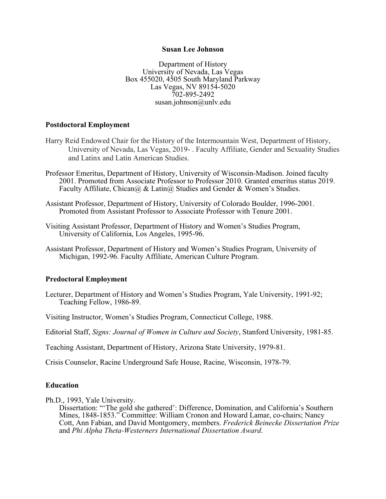#### **Susan Lee Johnson**

Department of History University of Nevada, Las Vegas Box 455020, 4505 South Maryland Parkway Las Vegas, NV 89154-5020 702-895-2492 susan.johnson@unlv.edu

### **Postdoctoral Employment**

- Harry Reid Endowed Chair for the History of the Intermountain West, Department of History, University of Nevada, Las Vegas, 2019- . Faculty Affiliate, Gender and Sexuality Studies and Latinx and Latin American Studies.
- Professor Emeritus, Department of History, University of Wisconsin-Madison. Joined faculty 2001. Promoted from Associate Professor to Professor 2010. Granted emeritus status 2019. Faculty Affiliate, Chican@ & Latin@ Studies and Gender & Women's Studies.
- Assistant Professor, Department of History, University of Colorado Boulder, 1996-2001. Promoted from Assistant Professor to Associate Professor with Tenure 2001.
- Visiting Assistant Professor, Department of History and Women's Studies Program, University of California, Los Angeles, 1995-96.
- Assistant Professor, Department of History and Women's Studies Program, University of Michigan, 1992-96. Faculty Affiliate, American Culture Program.

#### **Predoctoral Employment**

- Lecturer, Department of History and Women's Studies Program, Yale University, 1991-92; Teaching Fellow, 1986-89.
- Visiting Instructor, Women's Studies Program, Connecticut College, 1988.
- Editorial Staff, *Signs: Journal of Women in Culture and Society*, Stanford University, 1981-85.

Teaching Assistant, Department of History, Arizona State University, 1979-81.

Crisis Counselor, Racine Underground Safe House, Racine, Wisconsin, 1978-79.

### **Education**

Ph.D., 1993, Yale University.

Dissertation: "'The gold she gathered': Difference, Domination, and California's Southern Mines, 1848-1853." Committee: William Cronon and Howard Lamar, co-chairs; Nancy Cott, Ann Fabian, and David Montgomery, members. *Frederick Beinecke Dissertation Prize*  and *Phi Alpha Theta-Westerners International Dissertation Award*.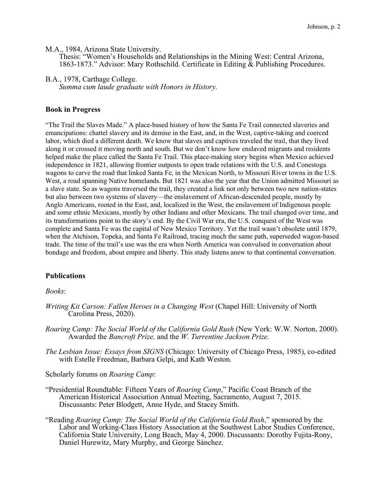M.A., 1984, Arizona State University.

Thesis: "Women's Households and Relationships in the Mining West: Central Arizona, 1863-1873." Advisor: Mary Rothschild. Certificate in Editing & Publishing Procedures.

B.A., 1978, Carthage College.

*Summa cum laude graduate with Honors in History.*

#### **Book in Progress**

"The Trail the Slaves Made." A place-based history of how the Santa Fe Trail connected slaveries and emancipations: chattel slavery and its demise in the East, and, in the West, captive-taking and coerced labor, which died a different death. We know that slaves and captives traveled the trail, that they lived along it or crossed it moving north and south. But we don't know how enslaved migrants and residents helped make the place called the Santa Fe Trail. This place-making story begins when Mexico achieved independence in 1821, allowing frontier outposts to open trade relations with the U.S. and Conestoga wagons to carve the road that linked Santa Fe, in the Mexican North, to Missouri River towns in the U.S. West, a road spanning Native homelands. But 1821 was also the year that the Union admitted Missouri as a slave state. So as wagons traversed the trail, they created a link not only between two new nation-states but also between two systems of slavery—the enslavement of African-descended people, mostly by Anglo Americans, rooted in the East, and, localized in the West, the enslavement of Indigenous people and some ethnic Mexicans, mostly by other Indians and other Mexicans. The trail changed over time, and its transformations point to the story's end. By the Civil War era, the U.S. conquest of the West was complete and Santa Fe was the capital of New Mexico Territory. Yet the trail wasn't obsolete until 1879, when the Atchison, Topeka, and Santa Fe Railroad, tracing much the same path, superseded wagon-based trade. The time of the trail's use was the era when North America was convulsed in conversation about bondage and freedom, about empire and liberty. This study listens anew to that continental conversation.

### **Publications**

#### *Books*:

- *Writing Kit Carson: Fallen Heroes in a Changing West* (Chapel Hill: University of North Carolina Press, 2020).
- *Roaring Camp: The Social World of the California Gold Rush* (New York: W.W. Norton, 2000). Awarded the *Bancroft Prize,* and the *W. Turrentine Jackson Prize.*
- *The Lesbian Issue: Essays from SIGNS* (Chicago: University of Chicago Press, 1985), co-edited with Estelle Freedman, Barbara Gelpi, and Kath Weston.

Scholarly forums on *Roaring Camp*:

- "Presidential Roundtable: Fifteen Years of *Roaring Camp*," Pacific Coast Branch of the American Historical Association Annual Meeting, Sacramento, August 7, 2015. Discussants: Peter Blodgett, Anne Hyde, and Stacey Smith.
- "Reading *Roaring Camp: The Social World of the California Gold Rush*," sponsored by the Labor and Working-Class History Association at the Southwest Labor Studies Conference, California State University, Long Beach, May 4, 2000. Discussants: Dorothy Fujita-Rony, Daniel Hurewitz, Mary Murphy, and George Sánchez.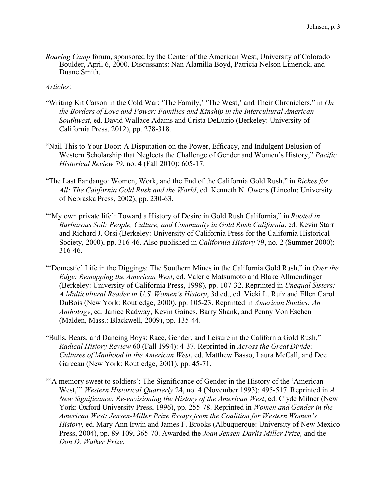*Roaring Camp* forum, sponsored by the Center of the American West, University of Colorado Boulder, April 6, 2000. Discussants: Nan Alamilla Boyd, Patricia Nelson Limerick, and Duane Smith.

## *Articles*:

- "Writing Kit Carson in the Cold War: 'The Family,' 'The West,' and Their Chroniclers," in *On the Borders of Love and Power: Families and Kinship in the Intercultural American Southwest*, ed. David Wallace Adams and Crista DeLuzio (Berkeley: University of California Press, 2012), pp. 278-318.
- "Nail This to Your Door: A Disputation on the Power, Efficacy, and Indulgent Delusion of Western Scholarship that Neglects the Challenge of Gender and Women's History," *Pacific Historical Review* 79, no. 4 (Fall 2010): 605-17.
- "The Last Fandango: Women, Work, and the End of the California Gold Rush," in *Riches for All: The California Gold Rush and the World*, ed. Kenneth N. Owens (Lincoln: University of Nebraska Press, 2002), pp. 230-63.
- "'My own private life': Toward a History of Desire in Gold Rush California," in *Rooted in Barbarous Soil: People, Culture, and Community in Gold Rush California*, ed. Kevin Starr and Richard J. Orsi (Berkeley: University of California Press for the California Historical Society, 2000), pp. 316-46. Also published in *California History* 79, no. 2 (Summer 2000): 316-46.
- "'Domestic' Life in the Diggings: The Southern Mines in the California Gold Rush," in *Over the Edge: Remapping the American West*, ed. Valerie Matsumoto and Blake Allmendinger (Berkeley: University of California Press, 1998), pp. 107-32. Reprinted in *Unequal Sisters: A Multicultural Reader in U.S. Women's History*, 3d ed., ed. Vicki L. Ruiz and Ellen Carol DuBois (New York: Routledge, 2000), pp. 105-23. Reprinted in *American Studies: An Anthology*, ed. Janice Radway, Kevin Gaines, Barry Shank, and Penny Von Eschen (Malden, Mass.: Blackwell, 2009), pp. 135-44.
- "Bulls, Bears, and Dancing Boys: Race, Gender, and Leisure in the California Gold Rush," *Radical History Review* 60 (Fall 1994): 4-37. Reprinted in *Across the Great Divide: Cultures of Manhood in the American West*, ed. Matthew Basso, Laura McCall, and Dee Garceau (New York: Routledge, 2001), pp. 45-71.
- ""A memory sweet to soldiers': The Significance of Gender in the History of the 'American West,'" *Western Historical Quarterly* 24, no. 4 (November 1993): 495-517. Reprinted in *A New Significance: Re-envisioning the History of the American West, ed. Clyde Milner (New* York: Oxford University Press, 1996), pp. 255-78. Reprinted in *Women and Gender in the American West: Jensen-Miller Prize Essays from the Coalition for Western Women's History*, ed. Mary Ann Irwin and James F. Brooks (Albuquerque: University of New Mexico Press, 2004), pp. 89-109, 365-70. Awarded the *Joan Jensen-Darlis Miller Prize,* and the *Don D. Walker Prize*.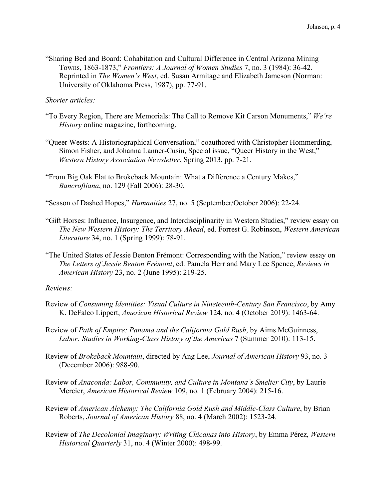"Sharing Bed and Board: Cohabitation and Cultural Difference in Central Arizona Mining Towns, 1863-1873," *Frontiers: A Journal of Women Studies* 7, no. 3 (1984): 36-42. Reprinted in *The Women's West*, ed. Susan Armitage and Elizabeth Jameson (Norman: University of Oklahoma Press, 1987), pp. 77-91.

*Shorter articles:*

- "To Every Region, There are Memorials: The Call to Remove Kit Carson Monuments," *We're History* online magazine, forthcoming.
- "Queer Wests: A Historiographical Conversation," coauthored with Christopher Hommerding, Simon Fisher, and Johanna Lanner-Cusin, Special issue, "Queer History in the West," *Western History Association Newsletter*, Spring 2013, pp. 7-21.
- "From Big Oak Flat to Brokeback Mountain: What a Difference a Century Makes," *Bancroftiana*, no. 129 (Fall 2006): 28-30.
- "Season of Dashed Hopes," *Humanities* 27, no. 5 (September/October 2006): 22-24.
- "Gift Horses: Influence, Insurgence, and Interdisciplinarity in Western Studies," review essay on *The New Western History: The Territory Ahead*, ed. Forrest G. Robinson, *Western American Literature* 34, no. 1 (Spring 1999): 78-91.
- "The United States of Jessie Benton Frémont: Corresponding with the Nation," review essay on *The Letters of Jessie Benton Frémont*, ed. Pamela Herr and Mary Lee Spence, *Reviews in American History* 23, no. 2 (June 1995): 219-25.

### *Reviews:*

- Review of *Consuming Identities: Visual Culture in Nineteenth-Century San Francisco*, by Amy K. DeFalco Lippert, *American Historical Review* 124, no. 4 (October 2019): 1463-64.
- Review of *Path of Empire: Panama and the California Gold Rush*, by Aims McGuinness, *Labor: Studies in Working-Class History of the Americas* 7 (Summer 2010): 113-15.
- Review of *Brokeback Mountain*, directed by Ang Lee, *Journal of American History* 93, no. 3 (December 2006): 988-90.
- Review of *Anaconda: Labor, Community, and Culture in Montana's Smelter City*, by Laurie Mercier, *American Historical Review* 109, no. 1 (February 2004): 215-16.
- Review of *American Alchemy: The California Gold Rush and Middle-Class Culture*, by Brian Roberts, *Journal of American History* 88, no. 4 (March 2002): 1523-24.
- Review of *The Decolonial Imaginary: Writing Chicanas into History*, by Emma Pérez, *Western Historical Quarterly* 31, no. 4 (Winter 2000): 498-99.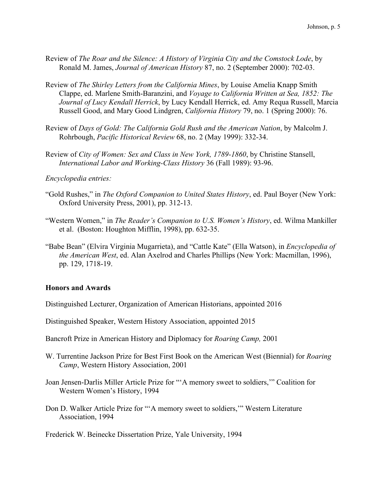- Review of *The Roar and the Silence: A History of Virginia City and the Comstock Lode*, by Ronald M. James, *Journal of American History* 87, no. 2 (September 2000): 702-03.
- Review of *The Shirley Letters from the California Mines*, by Louise Amelia Knapp Smith Clappe, ed. Marlene Smith-Baranzini, and *Voyage to California Written at Sea, 1852: The Journal of Lucy Kendall Herrick*, by Lucy Kendall Herrick, ed. Amy Requa Russell, Marcia Russell Good, and Mary Good Lindgren, *California History* 79, no. 1 (Spring 2000): 76.
- Review of *Days of Gold: The California Gold Rush and the American Nation*, by Malcolm J. Rohrbough, *Pacific Historical Review* 68, no. 2 (May 1999): 332-34.
- Review of *City of Women: Sex and Class in New York, 1789-1860*, by Christine Stansell, *International Labor and Working-Class History* 36 (Fall 1989): 93-96.
- *Encyclopedia entries:*
- "Gold Rushes," in *The Oxford Companion to United States History*, ed. Paul Boyer (New York: Oxford University Press, 2001), pp. 312-13.
- "Western Women," in *The Reader's Companion to U.S. Women's History*, ed. Wilma Mankiller et al. (Boston: Houghton Mifflin, 1998), pp. 632-35.
- "Babe Bean" (Elvira Virginia Mugarrieta), and "Cattle Kate" (Ella Watson), in *Encyclopedia of the American West*, ed. Alan Axelrod and Charles Phillips (New York: Macmillan, 1996), pp. 129, 1718-19.

#### **Honors and Awards**

Distinguished Lecturer, Organization of American Historians, appointed 2016

Distinguished Speaker, Western History Association, appointed 2015

- Bancroft Prize in American History and Diplomacy for *Roaring Camp,* 2001
- W. Turrentine Jackson Prize for Best First Book on the American West (Biennial) for *Roaring Camp*, Western History Association, 2001
- Joan Jensen-Darlis Miller Article Prize for "'A memory sweet to soldiers,'" Coalition for Western Women's History, 1994
- Don D. Walker Article Prize for "'A memory sweet to soldiers,'" Western Literature Association, 1994

Frederick W. Beinecke Dissertation Prize, Yale University, 1994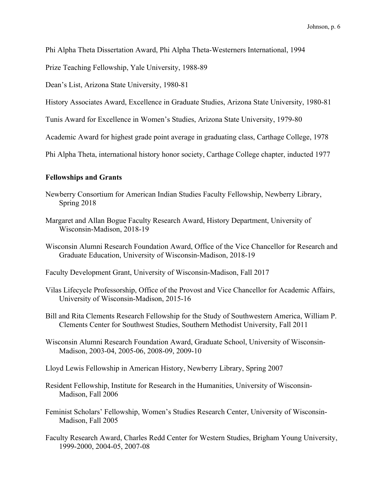Phi Alpha Theta Dissertation Award, Phi Alpha Theta-Westerners International, 1994

Prize Teaching Fellowship, Yale University, 1988-89

Dean's List, Arizona State University, 1980-81

History Associates Award, Excellence in Graduate Studies, Arizona State University, 1980-81

Tunis Award for Excellence in Women's Studies, Arizona State University, 1979-80

Academic Award for highest grade point average in graduating class, Carthage College, 1978

Phi Alpha Theta, international history honor society, Carthage College chapter, inducted 1977

#### **Fellowships and Grants**

- Newberry Consortium for American Indian Studies Faculty Fellowship, Newberry Library, Spring 2018
- Margaret and Allan Bogue Faculty Research Award, History Department, University of Wisconsin-Madison, 2018-19
- Wisconsin Alumni Research Foundation Award, Office of the Vice Chancellor for Research and Graduate Education, University of Wisconsin-Madison, 2018-19

Faculty Development Grant, University of Wisconsin-Madison, Fall 2017

- Vilas Lifecycle Professorship, Office of the Provost and Vice Chancellor for Academic Affairs, University of Wisconsin-Madison, 2015-16
- Bill and Rita Clements Research Fellowship for the Study of Southwestern America, William P. Clements Center for Southwest Studies, Southern Methodist University, Fall 2011
- Wisconsin Alumni Research Foundation Award, Graduate School, University of Wisconsin-Madison, 2003-04, 2005-06, 2008-09, 2009-10
- Lloyd Lewis Fellowship in American History, Newberry Library, Spring 2007
- Resident Fellowship, Institute for Research in the Humanities, University of Wisconsin-Madison, Fall 2006
- Feminist Scholars' Fellowship, Women's Studies Research Center, University of Wisconsin-Madison, Fall 2005
- Faculty Research Award, Charles Redd Center for Western Studies, Brigham Young University, 1999-2000, 2004-05, 2007-08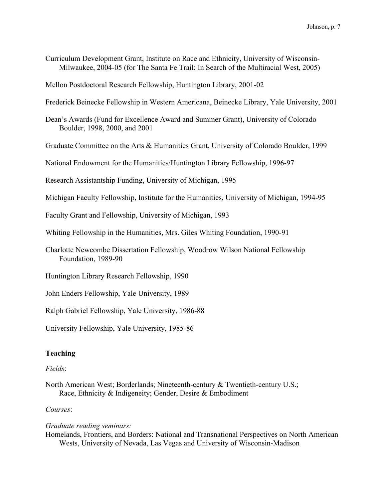Curriculum Development Grant, Institute on Race and Ethnicity, University of Wisconsin-Milwaukee, 2004-05 (for The Santa Fe Trail: In Search of the Multiracial West, 2005)

Mellon Postdoctoral Research Fellowship, Huntington Library, 2001-02

Frederick Beinecke Fellowship in Western Americana, Beinecke Library, Yale University, 2001

Dean's Awards (Fund for Excellence Award and Summer Grant), University of Colorado Boulder, 1998, 2000, and 2001

Graduate Committee on the Arts & Humanities Grant, University of Colorado Boulder, 1999

National Endowment for the Humanities/Huntington Library Fellowship, 1996-97

Research Assistantship Funding, University of Michigan, 1995

Michigan Faculty Fellowship, Institute for the Humanities, University of Michigan, 1994-95

Faculty Grant and Fellowship, University of Michigan, 1993

Whiting Fellowship in the Humanities, Mrs. Giles Whiting Foundation, 1990-91

Charlotte Newcombe Dissertation Fellowship, Woodrow Wilson National Fellowship Foundation, 1989-90

Huntington Library Research Fellowship, 1990

John Enders Fellowship, Yale University, 1989

Ralph Gabriel Fellowship, Yale University, 1986-88

University Fellowship, Yale University, 1985-86

# **Teaching**

### *Fields*:

North American West; Borderlands; Nineteenth-century & Twentieth-century U.S.; Race, Ethnicity & Indigeneity; Gender, Desire & Embodiment

### *Courses*:

*Graduate reading seminars:* 

Homelands, Frontiers, and Borders: National and Transnational Perspectives on North American Wests, University of Nevada, Las Vegas and University of Wisconsin-Madison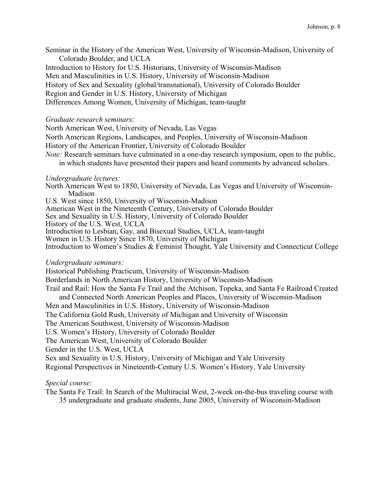Seminar in the History of the American West, University of Wisconsin-Madison, University of Colorado Boulder, and UCLA

Introduction to History for U.S. Historians, University of Wisconsin-Madison

Men and Masculinities in U.S. History, University of Wisconsin-Madison

History of Sex and Sexuality (global/transnational), University of Colorado Boulder

Region and Gender in U.S. History, University of Michigan

Differences Among Women, University of Michigan, team-taught

### *Graduate research seminars*:

North American West, University of Nevada, Las Vegas North American Regions, Landscapes, and Peoples, University of Wisconsin-Madison History of the American Frontier, University of Colorado Boulder *Note:* Research seminars have culminated in a one-day research symposium, open to the public, in which students have presented their papers and heard comments by advanced scholars.

## *Undergraduate lectures:*

North American West to 1850, University of Nevada, Las Vegas and University of Wisconsin-Madison

U.S. West since 1850, University of Wisconsin-Madison

American West in the Nineteenth Century, University of Colorado Boulder

Sex and Sexuality in U.S. History, University of Colorado Boulder

History of the U.S. West, UCLA

Introduction to Lesbian, Gay, and Bisexual Studies, UCLA, team-taught

Women in U.S. History Since 1870, University of Michigan

Introduction to Women's Studies & Feminist Thought, Yale University and Connecticut College

## *Undergraduate seminars:*

Historical Publishing Practicum, University of Wisconsin-Madison Borderlands in North American History, University of Wisconsin-Madison Trail and Rail: How the Santa Fe Trail and the Atchison, Topeka, and Santa Fe Railroad Created and Connected North American Peoples and Places, University of Wisconsin-Madison Men and Masculinities in U.S. History, University of Wisconsin-Madison The California Gold Rush, University of Michigan and University of Wisconsin The American Southwest, University of Wisconsin-Madison U.S. Women's History, University of Colorado Boulder The American West, University of Colorado Boulder Gender in the U.S. West, UCLA Sex and Sexuality in U.S. History, University of Michigan and Yale University Regional Perspectives in Nineteenth-Century U.S. Women's History, Yale University

# *Special course:*

The Santa Fe Trail: In Search of the Multiracial West, 2-week on-the-bus traveling course with 35 undergraduate and graduate students, June 2005, University of Wisconsin-Madison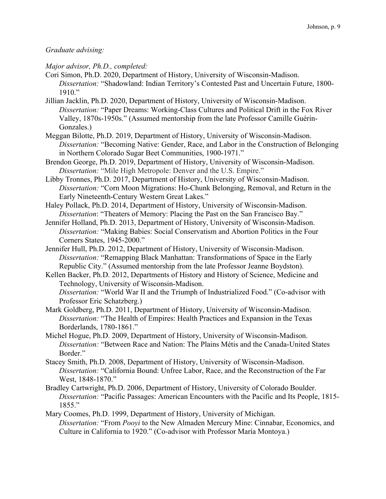## *Graduate advising:*

*Major advisor, Ph.D., completed:*

- Cori Simon, Ph.D. 2020, Department of History, University of Wisconsin-Madison. *Dissertation:* "Shadowland: Indian Territory's Contested Past and Uncertain Future, 1800- 1910."
- Jillian Jacklin, Ph.D. 2020, Department of History, University of Wisconsin-Madison. *Dissertation:* "Paper Dreams: Working-Class Cultures and Political Drift in the Fox River Valley, 1870s-1950s." (Assumed mentorship from the late Professor Camille Guérin-Gonzales.)
- Meggan Bilotte, Ph.D. 2019, Department of History, University of Wisconsin-Madison. *Dissertation:* "Becoming Native: Gender, Race, and Labor in the Construction of Belonging in Northern Colorado Sugar Beet Communities, 1900-1971."
- Brendon George, Ph.D. 2019, Department of History, University of Wisconsin-Madison. *Dissertation:* "Mile High Metropole: Denver and the U.S. Empire."
- Libby Tronnes, Ph.D. 2017, Department of History, University of Wisconsin-Madison. *Dissertation:* "Corn Moon Migrations: Ho-Chunk Belonging, Removal, and Return in the Early Nineteenth-Century Western Great Lakes."
- Haley Pollack, Ph.D. 2014, Department of History, University of Wisconsin-Madison. *Dissertation*: "Theaters of Memory: Placing the Past on the San Francisco Bay."
- Jennifer Holland, Ph.D. 2013, Department of History, University of Wisconsin-Madison. *Dissertation:* "Making Babies: Social Conservatism and Abortion Politics in the Four Corners States, 1945-2000."
- Jennifer Hull, Ph.D. 2012, Department of History, University of Wisconsin-Madison. *Dissertation:* "Remapping Black Manhattan: Transformations of Space in the Early Republic City." (Assumed mentorship from the late Professor Jeanne Boydston).
- Kellen Backer, Ph.D. 2012, Departments of History and History of Science, Medicine and Technology, University of Wisconsin-Madison.

*Dissertation:* "World War II and the Triumph of Industrialized Food." (Co-advisor with Professor Eric Schatzberg.)

- Mark Goldberg, Ph.D. 2011, Department of History, University of Wisconsin-Madison. *Dissertation:* "The Health of Empires: Health Practices and Expansion in the Texas Borderlands, 1780-1861."
- Michel Hogue, Ph.D. 2009, Department of History, University of Wisconsin-Madison. *Dissertation:* "Between Race and Nation: The Plains Métis and the Canada-United States Border."
- Stacey Smith, Ph.D. 2008, Department of History, University of Wisconsin-Madison. *Dissertation:* "California Bound: Unfree Labor, Race, and the Reconstruction of the Far West, 1848-1870."
- Bradley Cartwright, Ph.D. 2006, Department of History, University of Colorado Boulder. *Dissertation:* "Pacific Passages: American Encounters with the Pacific and Its People, 1815- 1855."
- Mary Coomes, Ph.D. 1999, Department of History, University of Michigan. *Dissertation:* "From *Pooyi* to the New Almaden Mercury Mine: Cinnabar, Economics, and Culture in California to 1920." (Co-advisor with Professor María Montoya.)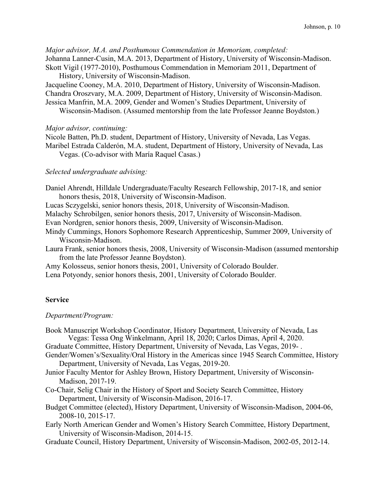*Major advisor, M.A. and Posthumous Commendation in Memoriam, completed:*

Johanna Lanner-Cusin, M.A. 2013, Department of History, University of Wisconsin-Madison. Skott Vigil (1977-2010), Posthumous Commendation in Memoriam 2011, Department of

History, University of Wisconsin-Madison.

Jacqueline Cooney, M.A. 2010, Department of History, University of Wisconsin-Madison. Chandra Oroszvary, M.A. 2009, Department of History, University of Wisconsin-Madison. Jessica Manfrin, M.A. 2009, Gender and Women's Studies Department, University of

Wisconsin-Madison. (Assumed mentorship from the late Professor Jeanne Boydston.)

## *Major advisor, continuing:*

Nicole Batten, Ph.D. student, Department of History, University of Nevada, Las Vegas. Maribel Estrada Calderón, M.A. student, Department of History, University of Nevada, Las Vegas. (Co-advisor with María Raquel Casas.)

# *Selected undergraduate advising:*

Daniel Ahrendt, Hilldale Undergraduate/Faculty Research Fellowship, 2017-18, and senior honors thesis, 2018, University of Wisconsin-Madison.

Lucas Sczygelski, senior honors thesis, 2018, University of Wisconsin-Madison.

Malachy Schrobilgen, senior honors thesis, 2017, University of Wisconsin-Madison.

Evan Nordgren, senior honors thesis, 2009, University of Wisconsin-Madison.

Mindy Cummings, Honors Sophomore Research Apprenticeship, Summer 2009, University of Wisconsin-Madison.

Laura Frank, senior honors thesis, 2008, University of Wisconsin-Madison (assumed mentorship from the late Professor Jeanne Boydston).

Amy Kolosseus, senior honors thesis, 2001, University of Colorado Boulder.

Lena Potyondy, senior honors thesis, 2001, University of Colorado Boulder.

# **Service**

# *Department/Program:*

Book Manuscript Workshop Coordinator, History Department, University of Nevada, Las Vegas: Tessa Ong Winkelmann, April 18, 2020; Carlos Dimas, April 4, 2020.

Graduate Committee, History Department, University of Nevada, Las Vegas, 2019- .

- Gender/Women's/Sexuality/Oral History in the Americas since 1945 Search Committee, History Department, University of Nevada, Las Vegas, 2019-20.
- Junior Faculty Mentor for Ashley Brown, History Department, University of Wisconsin-Madison, 2017-19.
- Co-Chair, Selig Chair in the History of Sport and Society Search Committee, History Department, University of Wisconsin-Madison, 2016-17.
- Budget Committee (elected), History Department, University of Wisconsin-Madison, 2004-06, 2008-10, 2015-17.
- Early North American Gender and Women's History Search Committee, History Department, University of Wisconsin-Madison, 2014-15.
- Graduate Council, History Department, University of Wisconsin-Madison, 2002-05, 2012-14.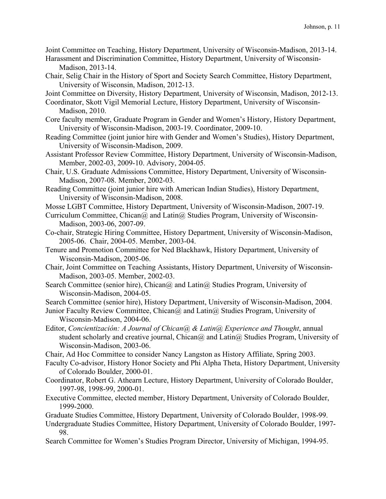Joint Committee on Teaching, History Department, University of Wisconsin-Madison, 2013-14.

- Harassment and Discrimination Committee, History Department, University of Wisconsin-Madison, 2013-14.
- Chair, Selig Chair in the History of Sport and Society Search Committee, History Department, University of Wisconsin, Madison, 2012-13.

Joint Committee on Diversity, History Department, University of Wisconsin, Madison, 2012-13.

Coordinator, Skott Vigil Memorial Lecture, History Department, University of Wisconsin-Madison, 2010.

- Core faculty member, Graduate Program in Gender and Women's History, History Department, University of Wisconsin-Madison, 2003-19. Coordinator, 2009-10.
- Reading Committee (joint junior hire with Gender and Women's Studies), History Department, University of Wisconsin-Madison, 2009.
- Assistant Professor Review Committee, History Department, University of Wisconsin-Madison, Member, 2002-03, 2009-10. Advisory, 2004-05.
- Chair, U.S. Graduate Admissions Committee, History Department, University of Wisconsin-Madison, 2007-08. Member, 2002-03.
- Reading Committee (joint junior hire with American Indian Studies), History Department, University of Wisconsin-Madison, 2008.
- Mosse LGBT Committee, History Department, University of Wisconsin-Madison, 2007-19.
- Curriculum Committee, Chican $\omega$  and Latin $\omega$  Studies Program, University of Wisconsin-Madison, 2003-06, 2007-09.
- Co-chair, Strategic Hiring Committee, History Department, University of Wisconsin-Madison, 2005-06. Chair, 2004-05. Member, 2003-04.
- Tenure and Promotion Committee for Ned Blackhawk, History Department, University of Wisconsin-Madison, 2005-06.
- Chair, Joint Committee on Teaching Assistants, History Department, University of Wisconsin-Madison, 2003-05. Member, 2002-03.
- Search Committee (senior hire), Chican $\omega$  and Latin $\omega$  Studies Program, University of Wisconsin-Madison, 2004-05.

Search Committee (senior hire), History Department, University of Wisconsin-Madison, 2004.

- Junior Faculty Review Committee, Chican@ and Latin@ Studies Program, University of Wisconsin-Madison, 2004-06.
- Editor, *Concientización: A Journal of Chican@ & Latin@ Experience and Thought*, annual student scholarly and creative journal, Chican $\omega$  and Latin $\omega$  Studies Program, University of Wisconsin-Madison, 2003-06.
- Chair, Ad Hoc Committee to consider Nancy Langston as History Affiliate, Spring 2003.
- Faculty Co-advisor, History Honor Society and Phi Alpha Theta, History Department, University of Colorado Boulder, 2000-01.
- Coordinator, Robert G. Athearn Lecture, History Department, University of Colorado Boulder, 1997-98, 1998-99, 2000-01.
- Executive Committee, elected member, History Department, University of Colorado Boulder, 1999-2000.
- Graduate Studies Committee, History Department, University of Colorado Boulder, 1998-99.
- Undergraduate Studies Committee, History Department, University of Colorado Boulder, 1997- 98.
- Search Committee for Women's Studies Program Director, University of Michigan, 1994-95.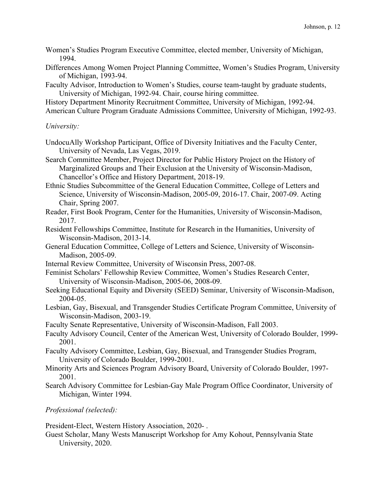- Women's Studies Program Executive Committee, elected member, University of Michigan, 1994.
- Differences Among Women Project Planning Committee, Women's Studies Program, University of Michigan, 1993-94.
- Faculty Advisor, Introduction to Women's Studies, course team-taught by graduate students, University of Michigan, 1992-94. Chair, course hiring committee.

History Department Minority Recruitment Committee, University of Michigan, 1992-94. American Culture Program Graduate Admissions Committee, University of Michigan, 1992-93.

## *University:*

- UndocuAlly Workshop Participant, Office of Diversity Initiatives and the Faculty Center, University of Nevada, Las Vegas, 2019.
- Search Committee Member, Project Director for Public History Project on the History of Marginalized Groups and Their Exclusion at the University of Wisconsin-Madison, Chancellor's Office and History Department, 2018-19.
- Ethnic Studies Subcommittee of the General Education Committee, College of Letters and Science, University of Wisconsin-Madison, 2005-09, 2016-17. Chair, 2007-09. Acting Chair, Spring 2007.
- Reader, First Book Program, Center for the Humanities, University of Wisconsin-Madison, 2017.
- Resident Fellowships Committee, Institute for Research in the Humanities, University of Wisconsin-Madison, 2013-14.
- General Education Committee, College of Letters and Science, University of Wisconsin-Madison, 2005-09.
- Internal Review Committee, University of Wisconsin Press, 2007-08.
- Feminist Scholars' Fellowship Review Committee, Women's Studies Research Center, University of Wisconsin-Madison, 2005-06, 2008-09.
- Seeking Educational Equity and Diversity (SEED) Seminar, University of Wisconsin-Madison, 2004-05.
- Lesbian, Gay, Bisexual, and Transgender Studies Certificate Program Committee, University of Wisconsin-Madison, 2003-19.
- Faculty Senate Representative, University of Wisconsin-Madison, Fall 2003.
- Faculty Advisory Council, Center of the American West, University of Colorado Boulder, 1999- 2001.
- Faculty Advisory Committee, Lesbian, Gay, Bisexual, and Transgender Studies Program, University of Colorado Boulder, 1999-2001.
- Minority Arts and Sciences Program Advisory Board, University of Colorado Boulder, 1997- 2001.
- Search Advisory Committee for Lesbian-Gay Male Program Office Coordinator, University of Michigan, Winter 1994.

*Professional (selected):* 

President-Elect, Western History Association, 2020- .

Guest Scholar, Many Wests Manuscript Workshop for Amy Kohout, Pennsylvania State University, 2020.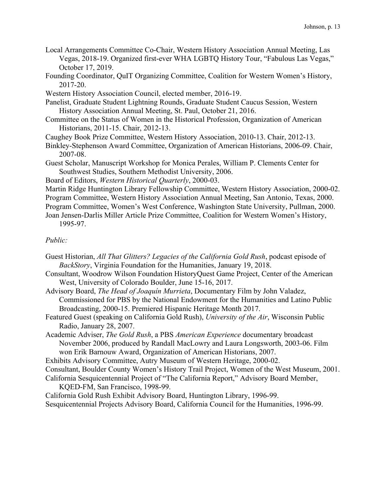- Local Arrangements Committee Co-Chair, Western History Association Annual Meeting, Las Vegas, 2018-19. Organized first-ever WHA LGBTQ History Tour, "Fabulous Las Vegas," October 17, 2019.
- Founding Coordinator, QuIT Organizing Committee, Coalition for Western Women's History, 2017-20.
- Western History Association Council, elected member, 2016-19.
- Panelist, Graduate Student Lightning Rounds, Graduate Student Caucus Session, Western History Association Annual Meeting, St. Paul, October 21, 2016.
- Committee on the Status of Women in the Historical Profession, Organization of American Historians, 2011-15. Chair, 2012-13.
- Caughey Book Prize Committee, Western History Association, 2010-13. Chair, 2012-13.
- Binkley-Stephenson Award Committee, Organization of American Historians, 2006-09. Chair, 2007-08.
- Guest Scholar, Manuscript Workshop for Monica Perales, William P. Clements Center for Southwest Studies, Southern Methodist University, 2006.
- Board of Editors, *Western Historical Quarterly*, 2000-03.
- Martin Ridge Huntington Library Fellowship Committee, Western History Association, 2000-02.
- Program Committee, Western History Association Annual Meeting, San Antonio, Texas, 2000.
- Program Committee, Women's West Conference, Washington State University, Pullman, 2000.
- Joan Jensen-Darlis Miller Article Prize Committee, Coalition for Western Women's History, 1995-97.

## *Public:*

- Guest Historian, *All That Glitters? Legacies of the California Gold Rush*, podcast episode of *BackStory*, Virginia Foundation for the Humanities, January 19, 2018.
- Consultant, Woodrow Wilson Foundation HistoryQuest Game Project, Center of the American West, University of Colorado Boulder, June 15-16, 2017.
- Advisory Board, *The Head of Joaquín Murrieta*, Documentary Film by John Valadez, Commissioned for PBS by the National Endowment for the Humanities and Latino Public Broadcasting, 2000-15. Premiered Hispanic Heritage Month 2017.
- Featured Guest (speaking on California Gold Rush), *University of the Air*, Wisconsin Public Radio, January 28, 2007.
- Academic Adviser, *The Gold Rush*, a PBS *American Experience* documentary broadcast November 2006, produced by Randall MacLowry and Laura Longsworth, 2003-06. Film won Erik Barnouw Award, Organization of American Historians, 2007.
- Exhibits Advisory Committee, Autry Museum of Western Heritage, 2000-02.
- Consultant, Boulder County Women's History Trail Project, Women of the West Museum, 2001.
- California Sesquicentennial Project of "The California Report," Advisory Board Member, KQED-FM, San Francisco, 1998-99.
- California Gold Rush Exhibit Advisory Board, Huntington Library, 1996-99. Sesquicentennial Projects Advisory Board, California Council for the Humanities, 1996-99.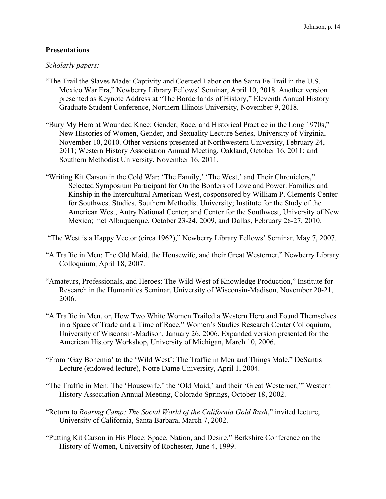## **Presentations**

### *Scholarly papers:*

- "The Trail the Slaves Made: Captivity and Coerced Labor on the Santa Fe Trail in the U.S.- Mexico War Era," Newberry Library Fellows' Seminar, April 10, 2018. Another version presented as Keynote Address at "The Borderlands of History," Eleventh Annual History Graduate Student Conference, Northern Illinois University, November 9, 2018.
- "Bury My Hero at Wounded Knee: Gender, Race, and Historical Practice in the Long 1970s," New Histories of Women, Gender, and Sexuality Lecture Series, University of Virginia, November 10, 2010. Other versions presented at Northwestern University, February 24, 2011; Western History Association Annual Meeting, Oakland, October 16, 2011; and Southern Methodist University, November 16, 2011.
- "Writing Kit Carson in the Cold War: 'The Family,' 'The West,' and Their Chroniclers," Selected Symposium Participant for On the Borders of Love and Power: Families and Kinship in the Intercultural American West, cosponsored by William P. Clements Center for Southwest Studies, Southern Methodist University; Institute for the Study of the American West, Autry National Center; and Center for the Southwest, University of New Mexico; met Albuquerque, October 23-24, 2009, and Dallas, February 26-27, 2010.

"The West is a Happy Vector (circa 1962)," Newberry Library Fellows' Seminar, May 7, 2007.

- "A Traffic in Men: The Old Maid, the Housewife, and their Great Westerner," Newberry Library Colloquium, April 18, 2007.
- "Amateurs, Professionals, and Heroes: The Wild West of Knowledge Production," Institute for Research in the Humanities Seminar, University of Wisconsin-Madison, November 20-21, 2006.
- "A Traffic in Men, or, How Two White Women Trailed a Western Hero and Found Themselves in a Space of Trade and a Time of Race," Women's Studies Research Center Colloquium, University of Wisconsin-Madison, January 26, 2006. Expanded version presented for the American History Workshop, University of Michigan, March 10, 2006.
- "From 'Gay Bohemia' to the 'Wild West': The Traffic in Men and Things Male," DeSantis Lecture (endowed lecture), Notre Dame University, April 1, 2004.
- "The Traffic in Men: The 'Housewife,' the 'Old Maid,' and their 'Great Westerner,'" Western History Association Annual Meeting, Colorado Springs, October 18, 2002.
- "Return to *Roaring Camp: The Social World of the California Gold Rush*," invited lecture, University of California, Santa Barbara, March 7, 2002.
- "Putting Kit Carson in His Place: Space, Nation, and Desire," Berkshire Conference on the History of Women, University of Rochester, June 4, 1999.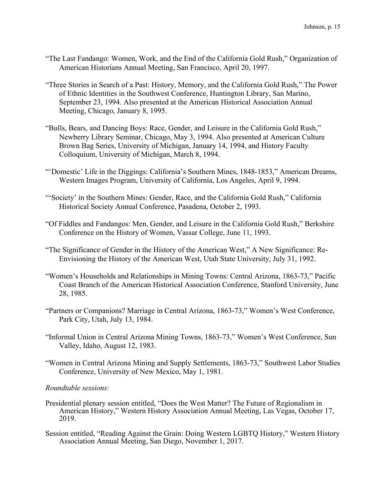- "The Last Fandango: Women, Work, and the End of the California Gold Rush," Organization of American Historians Annual Meeting, San Francisco, April 20, 1997.
- "Three Stories in Search of a Past: History, Memory, and the California Gold Rush," The Power of Ethnic Identities in the Southwest Conference, Huntington Library, San Marino, September 23, 1994. Also presented at the American Historical Association Annual Meeting, Chicago, January 8, 1995.
- "Bulls, Bears, and Dancing Boys: Race, Gender, and Leisure in the California Gold Rush," Newberry Library Seminar, Chicago, May 3, 1994. Also presented at American Culture Brown Bag Series, University of Michigan, January 14, 1994, and History Faculty Colloquium, University of Michigan, March 8, 1994.
- "'Domestic' Life in the Diggings: California's Southern Mines, 1848-1853," American Dreams, Western Images Program, University of California, Los Angeles, April 9, 1994.
- "'Society' in the Southern Mines: Gender, Race, and the California Gold Rush," California Historical Society Annual Conference, Pasadena, October 2, 1993.
- "Of Fiddles and Fandangos: Men, Gender, and Leisure in the California Gold Rush," Berkshire Conference on the History of Women, Vassar College, June 11, 1993.
- "The Significance of Gender in the History of the American West," A New Significance: Re-Envisioning the History of the American West, Utah State University, July 31, 1992.
- "Women's Households and Relationships in Mining Towns: Central Arizona, 1863-73," Pacific Coast Branch of the American Historical Association Conference, Stanford University, June 28, 1985.
- "Partners or Companions? Marriage in Central Arizona, 1863-73," Women's West Conference, Park City, Utah, July 13, 1984.
- "Informal Union in Central Arizona Mining Towns, 1863-73," Women's West Conference, Sun Valley, Idaho, August 12, 1983.
- "Women in Central Arizona Mining and Supply Settlements, 1863-73," Southwest Labor Studies Conference, University of New Mexico, May 1, 1981.

### *Roundtable sessions:*

- Presidential plenary session entitled, "Does the West Matter? The Future of Regionalism in American History," Western History Association Annual Meeting, Las Vegas, October 17, 2019.
- Session entitled, "Reading Against the Grain: Doing Western LGBTQ History," Western History Association Annual Meeting, San Diego, November 1, 2017.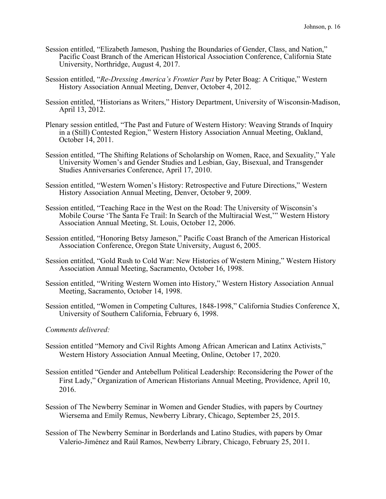- Session entitled, "Elizabeth Jameson, Pushing the Boundaries of Gender, Class, and Nation," Pacific Coast Branch of the American Historical Association Conference, California State University, Northridge, August 4, 2017.
- Session entitled, "*Re-Dressing America's Frontier Past* by Peter Boag: A Critique," Western History Association Annual Meeting, Denver, October 4, 2012.
- Session entitled, "Historians as Writers," History Department, University of Wisconsin-Madison, April 13, 2012.
- Plenary session entitled, "The Past and Future of Western History: Weaving Strands of Inquiry in a (Still) Contested Region," Western History Association Annual Meeting, Oakland, October 14, 2011.
- Session entitled, "The Shifting Relations of Scholarship on Women, Race, and Sexuality," Yale University Women's and Gender Studies and Lesbian, Gay, Bisexual, and Transgender Studies Anniversaries Conference, April 17, 2010.
- Session entitled, "Western Women's History: Retrospective and Future Directions," Western History Association Annual Meeting, Denver, October 9, 2009.
- Session entitled, "Teaching Race in the West on the Road: The University of Wisconsin's Mobile Course 'The Santa Fe Trail: In Search of the Multiracial West,'" Western History Association Annual Meeting, St. Louis, October 12, 2006.
- Session entitled, "Honoring Betsy Jameson," Pacific Coast Branch of the American Historical Association Conference, Oregon State University, August 6, 2005.
- Session entitled, "Gold Rush to Cold War: New Histories of Western Mining," Western History Association Annual Meeting, Sacramento, October 16, 1998.
- Session entitled, "Writing Western Women into History," Western History Association Annual Meeting, Sacramento, October 14, 1998.
- Session entitled, "Women in Competing Cultures, 1848-1998," California Studies Conference X, University of Southern California, February 6, 1998.

### *Comments delivered:*

- Session entitled "Memory and Civil Rights Among African American and Latinx Activists," Western History Association Annual Meeting, Online, October 17, 2020.
- Session entitled "Gender and Antebellum Political Leadership: Reconsidering the Power of the First Lady," Organization of American Historians Annual Meeting, Providence, April 10, 2016.
- Session of The Newberry Seminar in Women and Gender Studies, with papers by Courtney Wiersema and Emily Remus, Newberry Library, Chicago, September 25, 2015.
- Session of The Newberry Seminar in Borderlands and Latino Studies, with papers by Omar Valerio-Jiménez and Raúl Ramos, Newberry Library, Chicago, February 25, 2011.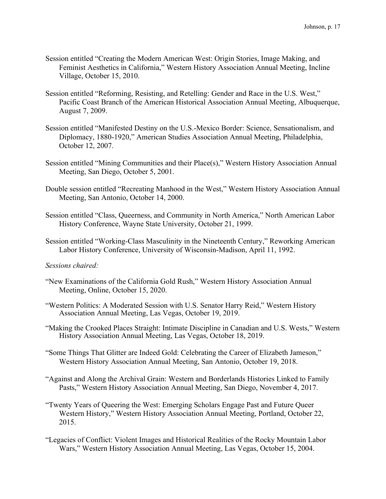- Session entitled "Creating the Modern American West: Origin Stories, Image Making, and Feminist Aesthetics in California," Western History Association Annual Meeting, Incline Village, October 15, 2010.
- Session entitled "Reforming, Resisting, and Retelling: Gender and Race in the U.S. West," Pacific Coast Branch of the American Historical Association Annual Meeting, Albuquerque, August 7, 2009.
- Session entitled "Manifested Destiny on the U.S.-Mexico Border: Science, Sensationalism, and Diplomacy, 1880-1920," American Studies Association Annual Meeting, Philadelphia, October 12, 2007.
- Session entitled "Mining Communities and their Place(s)," Western History Association Annual Meeting, San Diego, October 5, 2001.
- Double session entitled "Recreating Manhood in the West," Western History Association Annual Meeting, San Antonio, October 14, 2000.
- Session entitled "Class, Queerness, and Community in North America," North American Labor History Conference, Wayne State University, October 21, 1999.
- Session entitled "Working-Class Masculinity in the Nineteenth Century," Reworking American Labor History Conference, University of Wisconsin-Madison, April 11, 1992.

### *Sessions chaired:*

- "New Examinations of the California Gold Rush," Western History Association Annual Meeting, Online, October 15, 2020.
- "Western Politics: A Moderated Session with U.S. Senator Harry Reid," Western History Association Annual Meeting, Las Vegas, October 19, 2019.
- "Making the Crooked Places Straight: Intimate Discipline in Canadian and U.S. Wests," Western History Association Annual Meeting, Las Vegas, October 18, 2019.
- "Some Things That Glitter are Indeed Gold: Celebrating the Career of Elizabeth Jameson," Western History Association Annual Meeting, San Antonio, October 19, 2018.
- "Against and Along the Archival Grain: Western and Borderlands Histories Linked to Family Pasts," Western History Association Annual Meeting, San Diego, November 4, 2017.
- "Twenty Years of Queering the West: Emerging Scholars Engage Past and Future Queer Western History," Western History Association Annual Meeting, Portland, October 22, 2015.
- "Legacies of Conflict: Violent Images and Historical Realities of the Rocky Mountain Labor Wars," Western History Association Annual Meeting, Las Vegas, October 15, 2004.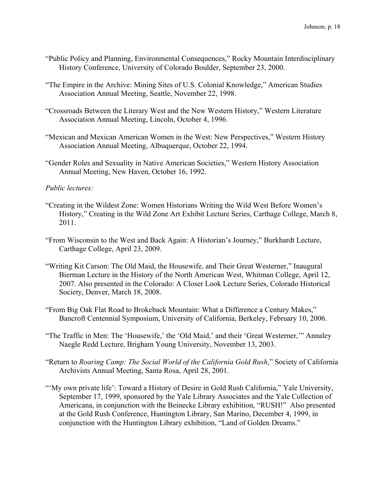- "Public Policy and Planning, Environmental Consequences," Rocky Mountain Interdisciplinary History Conference, University of Colorado Boulder, September 23, 2000.
- "The Empire in the Archive: Mining Sites of U.S. Colonial Knowledge," American Studies Association Annual Meeting, Seattle, November 22, 1998.
- "Crossroads Between the Literary West and the New Western History," Western Literature Association Annual Meeting, Lincoln, October 4, 1996.
- "Mexican and Mexican American Women in the West: New Perspectives," Western History Association Annual Meeting, Albuquerque, October 22, 1994.
- "Gender Roles and Sexuality in Native American Societies," Western History Association Annual Meeting, New Haven, October 16, 1992.

## *Public lectures:*

- "Creating in the Wildest Zone: Women Historians Writing the Wild West Before Women's History," Creating in the Wild Zone Art Exhibit Lecture Series, Carthage College, March 8, 2011.
- "From Wisconsin to the West and Back Again: A Historian's Journey," Burkhardt Lecture, Carthage College, April 23, 2009.
- "Writing Kit Carson: The Old Maid, the Housewife, and Their Great Westerner," Inaugural Bierman Lecture in the History of the North American West, Whitman College, April 12, 2007. Also presented in the Colorado: A Closer Look Lecture Series, Colorado Historical Society, Denver, March 18, 2008.
- "From Big Oak Flat Road to Brokeback Mountain: What a Difference a Century Makes," Bancroft Centennial Symposium, University of California, Berkeley, February 10, 2006.
- "The Traffic in Men: The 'Housewife,' the 'Old Maid,' and their 'Great Westerner,'" Annaley Naegle Redd Lecture, Brigham Young University, November 13, 2003.
- "Return to *Roaring Camp: The Social World of the California Gold Rush*," Society of California Archivists Annual Meeting, Santa Rosa, April 28, 2001.
- "'My own private life': Toward a History of Desire in Gold Rush California," Yale University, September 17, 1999, sponsored by the Yale Library Associates and the Yale Collection of Americana, in conjunction with the Beinecke Library exhibition, "RUSH!" Also presented at the Gold Rush Conference, Huntington Library, San Marino, December 4, 1999, in conjunction with the Huntington Library exhibition, "Land of Golden Dreams."